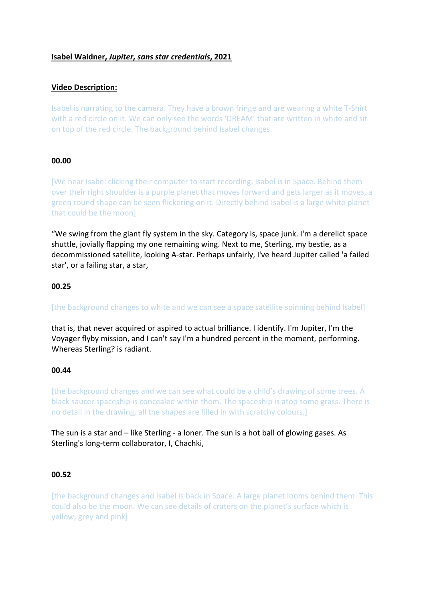### **Isabel Waidner,** *Jupiter, sans star credentials***, 2021**

## **Video Description:**

Isabel is narrating to the camera. They have a brown fringe and are wearing a white T-Shirt with a red circle on it. We can only see the words 'DREAM' that are written in white and sit on top of the red circle. The background behind Isabel changes.

### **00.00**

[We hear Isabel clicking their computer to start recording. Isabel is in Space. Behind them over their right shoulder is a purple planet that moves forward and gets larger as it moves, a green round shape can be seen flickering on it. Directly behind Isabel is a large white planet that could be the moon]

"We swing from the giant fly system in the sky. Category is, space junk. I'm a derelict space shuttle, jovially flapping my one remaining wing. Next to me, Sterling, my bestie, as a decommissioned satellite, looking A-star. Perhaps unfairly, I've heard Jupiter called 'a failed star', or a failing star, a star,

### **00.25**

[the background changes to white and we can see a space satellite spinning behind Isabel]

that is, that never acquired or aspired to actual brilliance. I identify. I'm Jupiter, I'm the Voyager flyby mission, and I can't say I'm a hundred percent in the moment, performing. Whereas Sterling? is radiant.

#### **00.44**

[the background changes and we can see what could be a child's drawing of some trees. A black saucer spaceship is concealed within them. The spaceship is atop some grass. There is no detail in the drawing, all the shapes are filled in with scratchy colours.]

The sun is a star and – like Sterling - a loner. The sun is a hot ball of glowing gases. As Sterling's long-term collaborator, I, Chachki,

### **00.52**

[the background changes and Isabel is back in Space. A large planet looms behind them. This could also be the moon. We can see details of craters on the planet's surface which is yellow, grey and pink]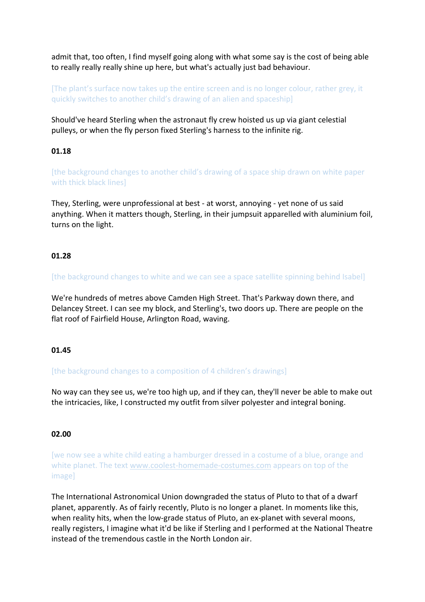admit that, too often, I find myself going along with what some say is the cost of being able to really really really shine up here, but what's actually just bad behaviour.

[The plant's surface now takes up the entire screen and is no longer colour, rather grey, it quickly switches to another child's drawing of an alien and spaceship]

Should've heard Sterling when the astronaut fly crew hoisted us up via giant celestial pulleys, or when the fly person fixed Sterling's harness to the infinite rig.

# **01.18**

[the background changes to another child's drawing of a space ship drawn on white paper with thick black lines]

They, Sterling, were unprofessional at best - at worst, annoying - yet none of us said anything. When it matters though, Sterling, in their jumpsuit apparelled with aluminium foil, turns on the light.

## **01.28**

[the background changes to white and we can see a space satellite spinning behind Isabel]

We're hundreds of metres above Camden High Street. That's Parkway down there, and Delancey Street. I can see my block, and Sterling's, two doors up. There are people on the flat roof of Fairfield House, Arlington Road, waving.

### **01.45**

[the background changes to a composition of 4 children's drawings]

No way can they see us, we're too high up, and if they can, they'll never be able to make out the intricacies, like, I constructed my outfit from silver polyester and integral boning.

## **02.00**

[we now see a white child eating a hamburger dressed in a costume of a blue, orange and white planet. The text www.coolest-homemade-costumes.com appears on top of the image]

The International Astronomical Union downgraded the status of Pluto to that of a dwarf planet, apparently. As of fairly recently, Pluto is no longer a planet. In moments like this, when reality hits, when the low-grade status of Pluto, an ex-planet with several moons, really registers, I imagine what it'd be like if Sterling and I performed at the National Theatre instead of the tremendous castle in the North London air.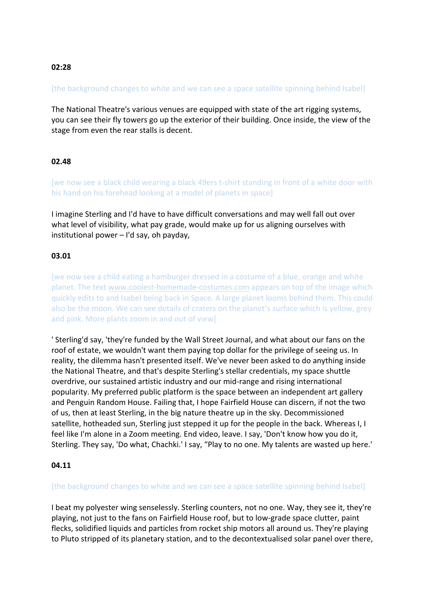# **02:28**

## [the background changes to white and we can see a space satellite spinning behind Isabel]

The National Theatre's various venues are equipped with state of the art rigging systems, you can see their fly towers go up the exterior of their building. Once inside, the view of the stage from even the rear stalls is decent.

## **02.48**

[we now see a black child wearing a black 49ers t-shirt standing in front of a white door with his hand on his forehead looking at a model of planets in space]

I imagine Sterling and I'd have to have difficult conversations and may well fall out over what level of visibility, what pay grade, would make up for us aligning ourselves with institutional power – I'd say, oh payday,

## **03.01**

[we now see a child eating a hamburger dressed in a costume of a blue, orange and white planet. The text www.coolest-homemade-costumes.com appears on top of the image which quickly edits to and Isabel being back in Space. A large planet looms behind them. This could also be the moon. We can see details of craters on the planet's surface which is yellow, grey and pink. More plants zoom in and out of view]

' Sterling'd say, 'they're funded by the Wall Street Journal, and what about our fans on the roof of estate, we wouldn't want them paying top dollar for the privilege of seeing us. In reality, the dilemma hasn't presented itself. We've never been asked to do anything inside the National Theatre, and that's despite Sterling's stellar credentials, my space shuttle overdrive, our sustained artistic industry and our mid-range and rising international popularity. My preferred public platform is the space between an independent art gallery and Penguin Random House. Failing that, I hope Fairfield House can discern, if not the two of us, then at least Sterling, in the big nature theatre up in the sky. Decommissioned satellite, hotheaded sun, Sterling just stepped it up for the people in the back. Whereas I, I feel like I'm alone in a Zoom meeting. End video, leave. I say, 'Don't know how you do it, Sterling. They say, 'Do what, Chachki.' I say, "Play to no one. My talents are wasted up here.'

### **04.11**

### [the background changes to white and we can see a space satellite spinning behind Isabel]

I beat my polyester wing senselessly. Sterling counters, not no one. Way, they see it, they're playing, not just to the fans on Fairfield House roof, but to low-grade space clutter, paint flecks, solidified liquids and particles from rocket ship motors all around us. They're playing to Pluto stripped of its planetary station, and to the decontextualised solar panel over there,